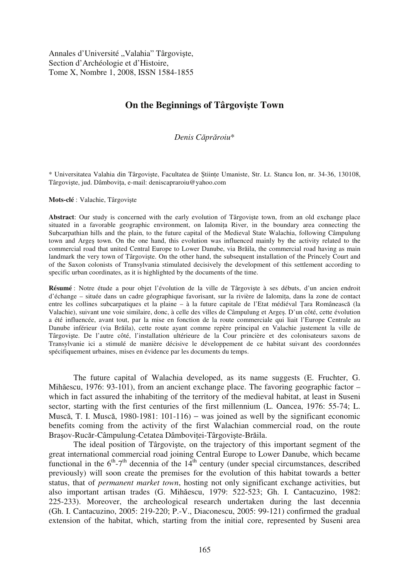Annales d'Université "Valahia" Târgoviște, Section d'Archéologie et d'Histoire, Tome X, Nombre 1, 2008, ISSN 1584-1855

## **On the Beginnings of Târgovite Town**

*Denis C*-*pr*-*roiu*\*

\* Universitatea Valahia din Târgovite, Facultatea de tiine Umaniste, Str. Lt. Stancu Ion, nr. 34-36, 130108, Târgoviște, jud. Dâmbovița, e-mail: deniscapraroiu@yahoo.com

**Mots-clé** : Valachie, Târgoviste

Abstract: Our study is concerned with the early evolution of Târgoviste town, from an old exchange place situated in a favorable geographic environment, on Ialomita River, in the boundary area connecting the Subcarpathian hills and the plain, to the future capital of the Medieval State Walachia, following Câmpulung town and Arges town. On the one hand, this evolution was influenced mainly by the activity related to the commercial road that united Central Europe to Lower Danube, via Brăila, the commercial road having as main landmark the very town of Târgovite. On the other hand, the subsequent installation of the Princely Court and of the Saxon colonists of Transylvania stimulated decisively the development of this settlement according to specific urban coordinates, as it is highlighted by the documents of the time.

**Résumé** : Notre étude a pour objet l'évolution de la ville de Târgovite à ses débuts, d'un ancien endroit d'échange – située dans un cadre géographique favorisant, sur la rivière de Ialomia, dans la zone de contact entre les collines subcarpatiques et la plaine – à la future capitale de l'Etat médiéval Țara Românească (la Valachie), suivant une voie similaire, donc, à celle des villes de Câmpulung et Argeș. D'un côté, cette évolution a été influencée, avant tout, par la mise en fonction de la route commerciale qui liait l'Europe Centrale au Danube inférieur (via Brăila), cette route ayant comme repère principal en Valachie justement la ville de Târgovite. De l'autre côté, l'installation ultérieure de la Cour princière et des colonisateurs saxons de Transylvanie ici a stimulé de manière décisive le développement de ce habitat suivant des coordonnées spécifiquement urbaines, mises en évidence par les documents du temps.

The future capital of Walachia developed, as its name suggests (E. Fruchter, G. Mihăescu, 1976: 93-101), from an ancient exchange place. The favoring geographic factor – which in fact assured the inhabiting of the territory of the medieval habitat, at least in Suseni sector, starting with the first centuries of the first millennium (L. Oancea, 1976: 55-74; L. Muscă, T. I. Muscă, 1980-1981: 101-116) – was joined as well by the significant economic benefits coming from the activity of the first Walachian commercial road, on the route Brașov-Rucăr-Câmpulung-Cetatea Dâmboviței-Târgoviște-Brăila.

The ideal position of Târgoviște, on the trajectory of this important segment of the great international commercial road joining Central Europe to Lower Danube, which became functional in the  $6<sup>th</sup> - 7<sup>th</sup>$  decennia of the  $14<sup>th</sup>$  century (under special circumstances, described previously) will soon create the premises for the evolution of this habitat towards a better status, that of *permanent market town*, hosting not only significant exchange activities, but also important artisan trades (G. Mihăescu, 1979: 522-523; Gh. I. Cantacuzino, 1982: 225-233). Moreover, the archeological research undertaken during the last decennia (Gh. I. Cantacuzino, 2005: 219-220; P.-V., Diaconescu, 2005: 99-121) confirmed the gradual extension of the habitat, which, starting from the initial core, represented by Suseni area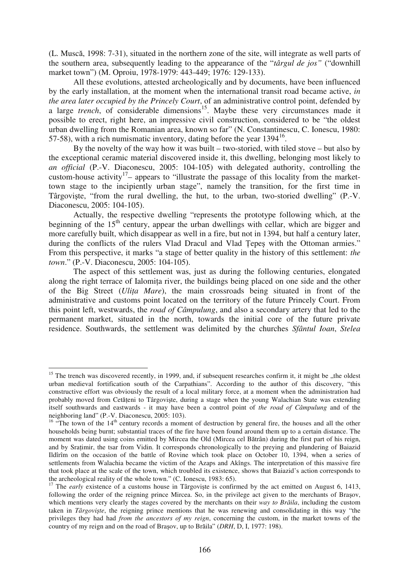(L. Muscă, 1998: 7-31), situated in the northern zone of the site, will integrate as well parts of the southern area, subsequently leading to the appearance of the "*târgul de jos"* ("downhill market town") (M. Oproiu, 1978-1979: 443-449; 1976: 129-133).

All these evolutions, attested archeologically and by documents, have been influenced by the early installation, at the moment when the international transit road became active, *in the area later occupied by the Princely Court*, of an administrative control point, defended by a large *trench*, of considerable dimensions<sup>15</sup>. Maybe these very circumstances made it possible to erect, right here, an impressive civil construction, considered to be "the oldest urban dwelling from the Romanian area, known so far" (N. Constantinescu, C. Ionescu, 1980: 57-58), with a rich numismatic inventory, dating before the year  $1394^{16}$ .

By the novelty of the way how it was built – two-storied, with tiled stove – but also by the exceptional ceramic material discovered inside it, this dwelling, belonging most likely to *an official* (P.-V. Diaconescu, 2005: 104-105) with delegated authority, controlling the custom-house activity<sup>17</sup>– appears to "illustrate the passage of this locality from the markettown stage to the incipiently urban stage", namely the transition, for the first time in Târgoviste, "from the rural dwelling, the hut, to the urban, two-storied dwelling" (P.-V. Diaconescu, 2005: 104-105).

Actually, the respective dwelling "represents the prototype following which, at the beginning of the  $15<sup>th</sup>$  century, appear the urban dwellings with cellar, which are bigger and more carefully built, which disappear as well in a fire, but not in 1394, but half a century later, during the conflicts of the rulers Vlad Dracul and Vlad Tepes with the Ottoman armies." From this perspective, it marks "a stage of better quality in the history of this settlement: *the town*." (P.-V. Diaconescu, 2005: 104-105).

The aspect of this settlement was, just as during the following centuries, elongated along the right terrace of Ialomita river, the buildings being placed on one side and the other of the Big Street (*Ulia Mare*), the main crossroads being situated in front of the administrative and customs point located on the territory of the future Princely Court. From this point left, westwards, the *road of Câmpulung*, and also a secondary artery that led to the permanent market, situated in the north, towards the initial core of the future private residence. Southwards, the settlement was delimited by the churches *Sfântul Ioan*, *Stelea* 

 $\overline{a}$ 

 $15$  The trench was discovered recently, in 1999, and, if subsequent researches confirm it, it might be "the oldest urban medieval fortification south of the Carpathians". According to the author of this discovery, "this constructive effort was obviously the result of a local military force, at a moment when the administration had probably moved from Cetățeni to Târgoviște, during a stage when the young Walachian State was extending itself southwards and eastwards - it may have been a control point of *the road of Câmpulung* and of the neighboring land" (P.-V. Diaconescu, 2005: 103).

<sup>&</sup>lt;sup>16</sup> "The town of the  $14<sup>th</sup>$  century records a moment of destruction by general fire, the houses and all the other households being burnt; substantial traces of the fire have been found around them up to a certain distance. The moment was dated using coins emitted by Mircea the Old (Mircea cel Bătrân) during the first part of his reign, and by Sraimir, the tsar from Vidin. It corresponds chronologically to the preying and plundering of Baiazid Ildîrîm on the occasion of the battle of Rovine which took place on October 10, 1394, when a series of settlements from Walachia became the victim of the Azaps and Akîngs. The interpretation of this massive fire that took place at the scale of the town, which troubled its existence, shows that Baiazid's action corresponds to the archeological reality of the whole town." (C. Ionescu, 1983: 65).

<sup>&</sup>lt;sup>17</sup> The *early* existence of a customs house in Târgoviste is confirmed by the act emitted on August 6, 1413, following the order of the reigning prince Mircea. So, in the privilege act given to the merchants of Brasov, which mentions very clearly the stages covered by the merchants on their *way to Brăila*, including the custom taken in *Târgovite*, the reigning prince mentions that he was renewing and consolidating in this way "the privileges they had had *from the ancestors of my reign*, concerning the custom, in the market towns of the country of my reign and on the road of Brașov, up to Brăila" (*DRH*, D, I, 1977: 198).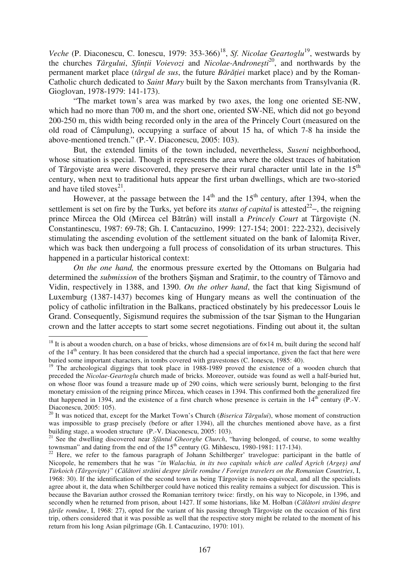*Veche* (P. Diaconescu, C. Ionescu, 1979: 353-366)<sup>18</sup>, *Sf. Nicolae Geartoglu*<sup>19</sup>, westwards by the churches *Târgului*, *Sfinii Voievozi* and *Nicolae-Androneti*<sup>20</sup>, and northwards by the permanent market place (*târgul de sus*, the future *Bărăției* market place) and by the Roman-Catholic church dedicated to *Saint Mary* built by the Saxon merchants from Transylvania (R. Gioglovan, 1978-1979: 141-173).

"The market town's area was marked by two axes, the long one oriented SE-NW, which had no more than 700 m, and the short one, oriented SW-NE, which did not go beyond 200-250 m, this width being recorded only in the area of the Princely Court (measured on the old road of Câmpulung), occupying a surface of about 15 ha, of which 7-8 ha inside the above-mentioned trench." (P.-V. Diaconescu, 2005: 103).

But, the extended limits of the town included, nevertheless, *Suseni* neighborhood, whose situation is special. Though it represents the area where the oldest traces of habitation of Târgoviște area were discovered, they preserve their rural character until late in the 15<sup>th</sup> century, when next to traditional huts appear the first urban dwellings, which are two-storied and have tiled stoves $^{21}$ .

However, at the passage between the  $14<sup>th</sup>$  and the  $15<sup>th</sup>$  century, after 1394, when the settlement is set on fire by the Turks, yet before its *status of capital* is attested<sup>22</sup>–, the reigning prince Mircea the Old (Mircea cel Bătrân) will install a *Princely Court* at Târgoviște (N. Constantinescu, 1987: 69-78; Gh. I. Cantacuzino, 1999: 127-154; 2001: 222-232), decisively stimulating the ascending evolution of the settlement situated on the bank of Ialomia River, which was back then undergoing a full process of consolidation of its urban structures. This happened in a particular historical context:

*On the one hand,* the enormous pressure exerted by the Ottomans on Bulgaria had determined the *submission* of the brothers Sisman and Sratimir, to the country of Târnovo and Vidin, respectively in 1388, and 1390. *On the other hand*, the fact that king Sigismund of Luxemburg (1387-1437) becomes king of Hungary means as well the continuation of the policy of catholic infiltration in the Balkans, practiced obstinately by his predecessor Louis le Grand. Consequently, Sigismund requires the submission of the tsar Sisman to the Hungarian crown and the latter accepts to start some secret negotiations. Finding out about it, the sultan

 $\overline{a}$ 

<sup>&</sup>lt;sup>18</sup> It is about a wooden church, on a base of bricks, whose dimensions are of  $6\times14$  m, built during the second half of the  $14<sup>th</sup>$  century. It has been considered that the church had a special importance, given the fact that here were buried some important characters, in tombs covered with gravestones (C. Ionescu, 1985: 40).

<sup>&</sup>lt;sup>19</sup> The archeological diggings that took place in 1988-1989 proved the existence of a wooden church that preceded the *Nicolae-Geartoglu* church made of bricks. Moreover, outside was found as well a half-buried hut, on whose floor was found a treasure made up of 290 coins, which were seriously burnt, belonging to the first monetary emission of the reigning prince Mircea, which ceases in 1394. This confirmed both the generalized fire that happened in 1394, and the existence of a first church whose presence is certain in the  $14<sup>th</sup>$  century (P.-V. Diaconescu, 2005: 105).

<sup>&</sup>lt;sup>20</sup> It was noticed that, except for the Market Town's Church (*Biserica Târgului*), whose moment of construction was impossible to grasp precisely (before or after 1394), all the churches mentioned above have, as a first building stage, a wooden structure (P.-V. Diaconescu, 2005: 103).

<sup>&</sup>lt;sup>21</sup> See the dwelling discovered near *Sfântul Gheorghe Church*, "having belonged, of course, to some wealthy townsman" and dating from the end of the  $15<sup>th</sup>$  century (G. Mihăescu, 1980-1981: 117-134).

<sup>&</sup>lt;sup>22</sup> Here, we refer to the famous paragraph of Johann Schiltberger' travelogue: participant in the battle of Nicopole, he remembers that he was *"in Walachia, in its two capitals which are called Agrich (Arge) and Türkoich (Târgovite)"* (*C*-*l*-*tori str*-*ini despre* -*rile române / Foreign travelers on the Romanian Countries*, I, 1968: 30). If the identification of the second town as being Târgovite is non-equivocal, and all the specialists agree about it, the data when Schiltberger could have noticed this reality remains a subject for discussion. This is because the Bavarian author crossed the Romanian territory twice: firstly, on his way to Nicopole, in 1396, and secondly when he returned from prison, about 1427. If some historians, like M. Holban (Călători străini despre *tările române*, I, 1968: 27), opted for the variant of his passing through Târgoviște on the occasion of his first trip, others considered that it was possible as well that the respective story might be related to the moment of his return from his long Asian pilgrimage (Gh. I. Cantacuzino, 1970: 101).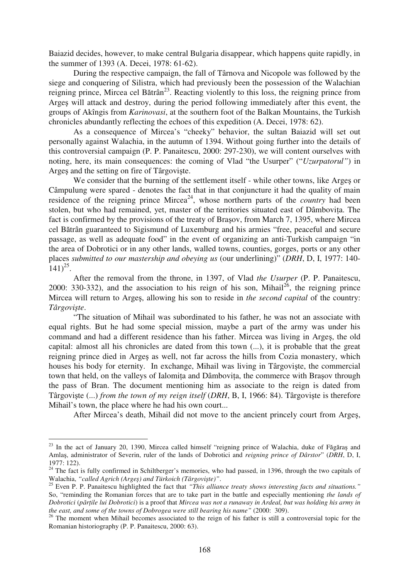Baiazid decides, however, to make central Bulgaria disappear, which happens quite rapidly, in the summer of 1393 (A. Decei, 1978: 61-62).

During the respective campaign, the fall of Târnova and Nicopole was followed by the siege and conquering of Silistra, which had previously been the possession of the Walachian reigning prince, Mircea cel Bătrân<sup>23</sup>. Reacting violently to this loss, the reigning prince from Arges will attack and destroy, during the period following immediately after this event, the groups of Akîngis from *Karinovasi*, at the southern foot of the Balkan Mountains, the Turkish chronicles abundantly reflecting the echoes of this expedition (A. Decei, 1978: 62).

As a consequence of Mircea's "cheeky" behavior, the sultan Baiazid will set out personally against Walachia, in the autumn of 1394. Without going further into the details of this controversial campaign (P. P. Panaitescu, 2000: 297-230), we will content ourselves with noting, here, its main consequences: the coming of Vlad "the Usurper" ("*Uzurpatorul"*) in Arges and the setting on fire of Târgoviste.

We consider that the burning of the settlement itself - while other towns, like Arges or Câmpulung were spared - denotes the fact that in that conjuncture it had the quality of main residence of the reigning prince Mircea<sup>24</sup>, whose northern parts of the *country* had been stolen, but who had remained, yet, master of the territories situated east of Dâmbovia. The fact is confirmed by the provisions of the treaty of Brasov, from March 7, 1395, where Mircea cel Bătrân guaranteed to Sigismund of Luxemburg and his armies "free, peaceful and secure passage, as well as adequate food" in the event of organizing an anti-Turkish campaign "in the area of Dobrotici or in any other lands, walled towns, counties, gorges, ports or any other places *submitted to our mastership and obeying us* (our underlining)" (*DRH*, D, I, 1977: 140-  $(141)^{25}$ .

After the removal from the throne, in 1397, of Vlad *the Usurper* (P. P. Panaitescu, 2000: 330-332), and the association to his reign of his son, Mihail<sup>26</sup>, the reigning prince Mircea will return to Arge, allowing his son to reside in *the second capital* of the country: *Târgovite*.

"The situation of Mihail was subordinated to his father, he was not an associate with equal rights. But he had some special mission, maybe a part of the army was under his command and had a different residence than his father. Mircea was living in Arges, the old capital: almost all his chronicles are dated from this town (...), it is probable that the great reigning prince died in Arges as well, not far across the hills from Cozia monastery, which houses his body for eternity. In exchange, Mihail was living in Târgoviste, the commercial town that held, on the valleys of Ialomita and Dâmbovita, the commerce with Brasov through the pass of Bran. The document mentioning him as associate to the reign is dated from Târgoviste (...) *from the town of my reign itself (DRH, B, I, 1966: 84).* Târgoviste is therefore Mihail's town, the place where he had his own court...

After Mircea's death, Mihail did not move to the ancient princely court from Arge,

 $\overline{a}$ 

 $2<sup>23</sup>$  In the act of January 20, 1390, Mircea called himself "reigning prince of Walachia, duke of Făgăraș and Amla, administrator of Severin, ruler of the lands of Dobrotici and *reigning prince of Dârstor*" (*DRH*, D, I, 1977: 122).

 $24$  The fact is fully confirmed in Schiltberger's memories, who had passed, in 1396, through the two capitals of Walachia, *"called Agrich (Arge) and Türkoich (Târgovite)"*.

<sup>25</sup> Even P. P. Panaitescu highlighted the fact that *"This alliance treaty shows interesting facts and situations."* So, "reminding the Romanian forces that are to take part in the battle and especially mentioning *the lands of Dobrotici* (*p*-*rile lui Dobrotici*) is a proof that *Mircea was not a runaway in Ardeal, but was holding his army in the east, and some of the towns of Dobrogea were still bearing his name"* (2000: 309).

<sup>&</sup>lt;sup>26</sup> The moment when Mihail becomes associated to the reign of his father is still a controversial topic for the Romanian historiography (P. P. Panaitescu, 2000: 63).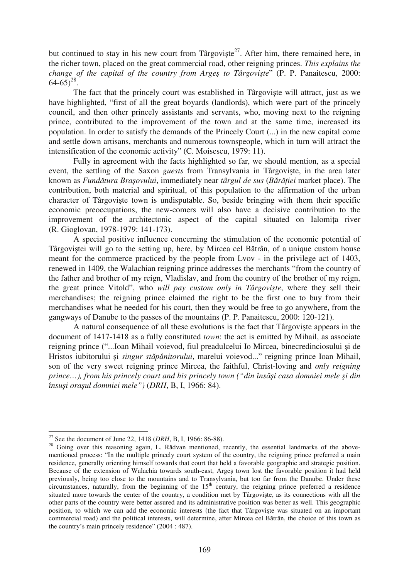but continued to stay in his new court from Târgoviște<sup>27</sup>. After him, there remained here, in the richer town, placed on the great commercial road, other reigning princes. *This explains the change of the capital of the country from Arge to Târgovite*" (P. P. Panaitescu, 2000:  $64-65)^{28}$ .

The fact that the princely court was established in Târgovite will attract, just as we have highlighted, "first of all the great boyards (landlords), which were part of the princely council, and then other princely assistants and servants, who, moving next to the reigning prince, contributed to the improvement of the town and at the same time, increased its population. In order to satisfy the demands of the Princely Court (...) in the new capital come and settle down artisans, merchants and numerous townspeople, which in turn will attract the intensification of the economic activity" (C. Moisescu, 1979: 11).

Fully in agreement with the facts highlighted so far, we should mention, as a special event, the settling of the Saxon *guests* from Transylvania in Târgoviste, in the area later known as *Fundătura Brașovului*, immediately near *târgul de sus (Bărăției* market place). The contribution, both material and spiritual, of this population to the affirmation of the urban character of Târgoviste town is undisputable. So, beside bringing with them their specific economic preoccupations, the new-comers will also have a decisive contribution to the improvement of the architectonic aspect of the capital situated on Ialomita river (R. Gioglovan, 1978-1979: 141-173).

A special positive influence concerning the stimulation of the economic potential of Târgoviștei will go to the setting up, here, by Mircea cel Bătrân, of a unique custom house meant for the commerce practiced by the people from Lvov - in the privilege act of 1403, renewed in 1409, the Walachian reigning prince addresses the merchants "from the country of the father and brother of my reign, Vladislav, and from the country of the brother of my reign, the great prince Vitold", who *will pay custom only in Târgovite*, where they sell their merchandises; the reigning prince claimed the right to be the first one to buy from their merchandises what he needed for his court, then they would be free to go anywhere, from the gangways of Danube to the passes of the mountains (P. P. Panaitescu, 2000: 120-121).

A natural consequence of all these evolutions is the fact that Târgoviste appears in the document of 1417-1418 as a fully constituted *town*: the act is emitted by Mihail, as associate reigning prince ("...Ioan Mihail voievod, fiul preadulcelui Io Mircea, binecredinciosului i de Hristos iubitorului și *singur stăpânitorului*, marelui voievod..." reigning prince Ioan Mihail, son of the very sweet reigning prince Mircea, the faithful, Christ-loving and *only reigning prince…), from his princely court and his princely town ("din îns*-*i casa domniei mele i din însui oraul domniei mele")* (*DRH*, B, I, 1966: 84).

 $\overline{a}$ <sup>27</sup> See the document of June 22, 1418 (*DRH*, B, I, 1966: 86-88).

 $2^8$  Going over this reasoning again, L. Rădvan mentioned, recently, the essential landmarks of the abovementioned process: "In the multiple princely court system of the country, the reigning prince preferred a main residence, generally orienting himself towards that court that held a favorable geographic and strategic position. Because of the extension of Walachia towards south-east, Arges town lost the favorable position it had held previously, being too close to the mountains and to Transylvania, but too far from the Danube. Under these circumstances, naturally, from the beginning of the  $15<sup>th</sup>$  century, the reigning prince preferred a residence situated more towards the center of the country, a condition met by Târgoviste, as its connections with all the other parts of the country were better assured and its administrative position was better as well. This geographic position, to which we can add the economic interests (the fact that Târgovite was situated on an important commercial road) and the political interests, will determine, after Mircea cel Bătrân, the choice of this town as the country's main princely residence" (2004 : 487).